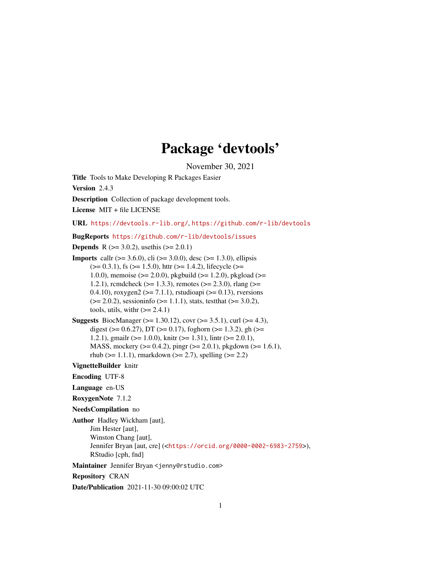# Package 'devtools'

November 30, 2021

<span id="page-0-0"></span>Title Tools to Make Developing R Packages Easier

Version 2.4.3

Description Collection of package development tools.

License MIT + file LICENSE

URL <https://devtools.r-lib.org/>, <https://github.com/r-lib/devtools>

BugReports <https://github.com/r-lib/devtools/issues>

**Depends** R  $(>= 3.0.2)$ , usethis  $(>= 2.0.1)$ **Imports** callr ( $> = 3.6.0$ ), cli ( $> = 3.0.0$ ), desc ( $> = 1.3.0$ ), ellipsis  $(>= 0.3.1)$ , fs  $(>= 1.5.0)$ , httr  $(>= 1.4.2)$ , lifecycle  $(>= 1.4.2)$ 1.0.0), memoise ( $> = 2.0.0$ ), pkgbuild ( $>= 1.2.0$ ), pkgload ( $>=$ 1.2.1), rcmdcheck ( $>= 1.3.3$ ), remotes ( $>= 2.3.0$ ), rlang ( $>=$ 0.4.10), roxygen2 ( $>= 7.1.1$ ), rstudioapi ( $>= 0.13$ ), rversions  $(>= 2.0.2)$ , sessioninfo  $(>= 1.1.1)$ , stats, test that  $(>= 3.0.2)$ , tools, utils, with  $(>= 2.4.1)$ 

```
Suggests BiocManager (>= 1.30.12), covr (>= 3.5.1), curl (>= 4.3),
      digest (> = 0.6.27), DT (>= 0.17), foghorn (>= 1.3.2), gh (>=1.2.1), gmailr (>= 1.0.0), knitr (>= 1.31), lintr (>= 2.0.1),
      MASS, mockery (>= 0.4.2), pingr (>= 2.0.1), pkgdown (>= 1.6.1),
      rhub (>= 1.1.1), rmarkdown (>= 2.7), spelling (>= 2.2)
```
VignetteBuilder knitr

Encoding UTF-8

Language en-US

RoxygenNote 7.1.2

NeedsCompilation no

Author Hadley Wickham [aut], Jim Hester [aut], Winston Chang [aut], Jennifer Bryan [aut, cre] (<<https://orcid.org/0000-0002-6983-2759>>), RStudio [cph, fnd]

Maintainer Jennifer Bryan <jenny@rstudio.com>

Repository CRAN

Date/Publication 2021-11-30 09:00:02 UTC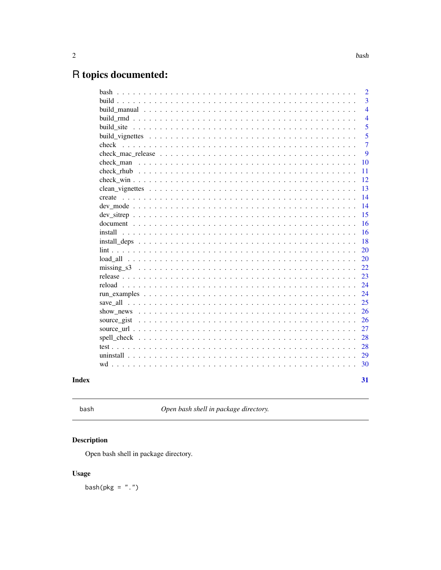# <span id="page-1-0"></span>R topics documented:

|                                                                                                                                                     | $\overline{2}$          |
|-----------------------------------------------------------------------------------------------------------------------------------------------------|-------------------------|
|                                                                                                                                                     | $\overline{3}$          |
|                                                                                                                                                     | $\overline{\mathbf{4}}$ |
|                                                                                                                                                     | $\overline{4}$          |
| build site                                                                                                                                          | 5                       |
|                                                                                                                                                     | 5                       |
| check                                                                                                                                               | $\overline{7}$          |
| check mac release $\ldots$ , $\ldots$ , $\ldots$ , $\ldots$ , $\ldots$ , $\ldots$ , $\ldots$ , $\ldots$ , $\ldots$ , $\ldots$ , $\ldots$ , $\ldots$ | 9                       |
|                                                                                                                                                     | 10                      |
|                                                                                                                                                     | 11                      |
|                                                                                                                                                     | 12                      |
|                                                                                                                                                     | 13                      |
| create                                                                                                                                              | 14                      |
|                                                                                                                                                     | 14                      |
|                                                                                                                                                     | 15                      |
|                                                                                                                                                     | 16                      |
|                                                                                                                                                     | 16                      |
|                                                                                                                                                     | 18                      |
|                                                                                                                                                     | 20                      |
|                                                                                                                                                     | 20                      |
|                                                                                                                                                     | 22                      |
|                                                                                                                                                     | 23                      |
|                                                                                                                                                     | 24                      |
|                                                                                                                                                     | 24                      |
|                                                                                                                                                     | 25                      |
|                                                                                                                                                     | 26                      |
|                                                                                                                                                     | 26                      |
|                                                                                                                                                     | 27                      |
|                                                                                                                                                     | 28                      |
|                                                                                                                                                     | 28                      |
|                                                                                                                                                     | 29                      |
|                                                                                                                                                     | 30                      |
|                                                                                                                                                     |                         |
|                                                                                                                                                     | 31                      |

# **Index**

```
bash
```
Open bash shell in package directory.

# Description

Open bash shell in package directory.

# **Usage**

 $bash(pkg = "."')$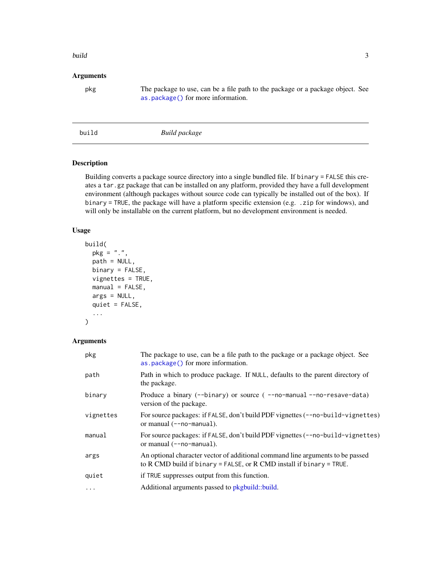#### <span id="page-2-0"></span>build 3 and 3 and 3 and 3 and 3 and 3 and 3 and 3 and 3 and 3 and 3 and 3 and 3 and 3 and 3 and 3 and 3 and 3 and 3 and 3 and 3 and 3 and 3 and 3 and 3 and 3 and 3 and 3 and 3 and 3 and 3 and 3 and 3 and 3 and 3 and 3 and

#### Arguments

pkg The package to use, can be a file path to the package or a package object. See [as.package\(\)](#page-0-0) for more information.

<span id="page-2-1"></span>build *Build package*

### Description

Building converts a package source directory into a single bundled file. If binary = FALSE this creates a tar.gz package that can be installed on any platform, provided they have a full development environment (although packages without source code can typically be installed out of the box). If binary = TRUE, the package will have a platform specific extension (e.g. .zip for windows), and will only be installable on the current platform, but no development environment is needed.

#### Usage

```
build(
  pkg = "."path = NULL,
  binary = FALSE,
  vignettes = TRUE,
  manual = FALSE,args = NULL,
  quiet = FALSE,
  ...
\mathcal{L}
```
#### Arguments

| pkg       | The package to use, can be a file path to the package or a package object. See<br>as.package() for more information.                                   |
|-----------|--------------------------------------------------------------------------------------------------------------------------------------------------------|
| path      | Path in which to produce package. If NULL, defaults to the parent directory of<br>the package.                                                         |
| binary    | Produce a binary (--binary) or source (--no-manual--no-resave-data)<br>version of the package.                                                         |
| vignettes | For source packages: if FALSE, don't build PDF vignettes (--no-build-vignettes)<br>or manual (--no-manual).                                            |
| manual    | For source packages: if FALSE, don't build PDF vignettes (--no-build-vignettes)<br>or manual $(-\text{-no-manual}).$                                   |
| args      | An optional character vector of additional command line arguments to be passed<br>to R CMD build if binary = FALSE, or R CMD install if binary = TRUE. |
| quiet     | if TRUE suppresses output from this function.                                                                                                          |
| $\ddots$  | Additional arguments passed to pkgbuild::build.                                                                                                        |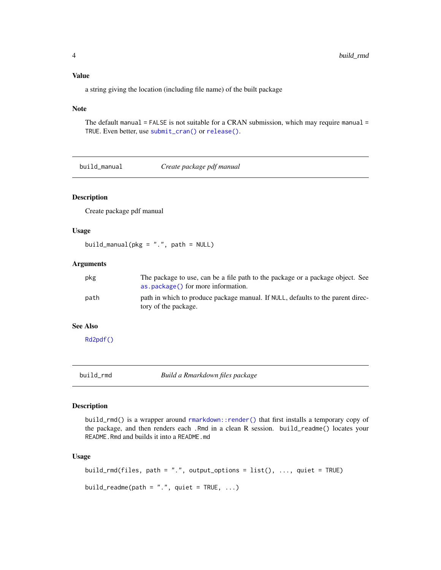#### Value

a string giving the location (including file name) of the built package

#### Note

The default manual = FALSE is not suitable for a CRAN submission, which may require manual = TRUE. Even better, use [submit\\_cran\(\)](#page-0-0) or [release\(\)](#page-22-1).

build\_manual *Create package pdf manual*

#### Description

Create package pdf manual

#### Usage

build\_manual(pkg = ".", path = NULL)

#### Arguments

| pkg  | The package to use, can be a file path to the package or a package object. See<br>as.package() for more information. |
|------|----------------------------------------------------------------------------------------------------------------------|
| path | path in which to produce package manual. If NULL, defaults to the parent direc-<br>tory of the package.              |

# See Also

[Rd2pdf\(\)](#page-0-0)

build\_rmd *Build a Rmarkdown files package*

#### Description

build\_rmd() is a wrapper around [rmarkdown::render\(\)](#page-0-0) that first installs a temporary copy of the package, and then renders each .Rmd in a clean R session. build\_readme() locates your README.Rmd and builds it into a README.md

```
build_rmd(files, path = ".", output_options = list(), ..., quiet = TRUE)
build_readme(path = ".", quiet = TRUE, \ldots)
```
<span id="page-3-0"></span>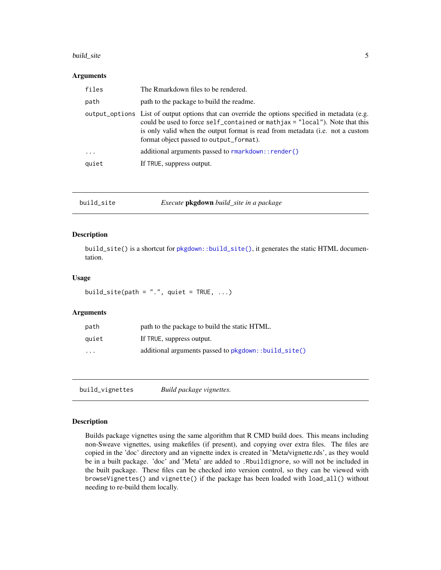#### <span id="page-4-0"></span>build\_site 5

#### Arguments

| files      | The Rmarkdown files to be rendered.                                                                                                                                                                                                                                                                        |
|------------|------------------------------------------------------------------------------------------------------------------------------------------------------------------------------------------------------------------------------------------------------------------------------------------------------------|
| path       | path to the package to build the readme.                                                                                                                                                                                                                                                                   |
|            | output_options List of output options that can override the options specified in metadata (e.g.<br>could be used to force self_contained or mathjax = "local"). Note that this<br>is only valid when the output format is read from metadata (i.e. not a custom<br>format object passed to output_format). |
| $\ddots$ . | additional arguments passed to rmarkdown:: render()                                                                                                                                                                                                                                                        |
| quiet      | If TRUE, suppress output.                                                                                                                                                                                                                                                                                  |

| build_site | Execute <b>pkgdown</b> build_site in a package |
|------------|------------------------------------------------|
|------------|------------------------------------------------|

#### Description

build\_site() is a shortcut for [pkgdown::build\\_site\(\)](#page-0-0), it generates the static HTML documentation.

#### Usage

build\_site(path =  $".".$ , quiet = TRUE, ...)

#### Arguments

| path                    | path to the package to build the static HTML.        |
|-------------------------|------------------------------------------------------|
| quiet                   | If TRUE, suppress output.                            |
| $\cdot$ $\cdot$ $\cdot$ | additional arguments passed to pkgdown::build_site() |

build\_vignettes *Build package vignettes.*

#### Description

Builds package vignettes using the same algorithm that R CMD build does. This means including non-Sweave vignettes, using makefiles (if present), and copying over extra files. The files are copied in the 'doc' directory and an vignette index is created in 'Meta/vignette.rds', as they would be in a built package. 'doc' and 'Meta' are added to .Rbuildignore, so will not be included in the built package. These files can be checked into version control, so they can be viewed with browseVignettes() and vignette() if the package has been loaded with load\_all() without needing to re-build them locally.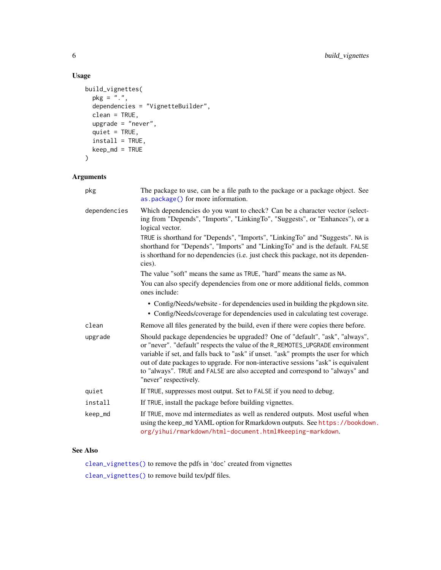# Usage

```
build_vignettes(
 pkg = "''.",
  dependencies = "VignetteBuilder",
  clean = TRUE,
  upgrade = "never",
  quiet = TRUE,
  install = TRUE,
  keep_md = TRUE
\mathcal{L}
```
#### Arguments

| pkg          | The package to use, can be a file path to the package or a package object. See<br>as.package() for more information.                                                                                                                                                                                                                                                                                                                              |
|--------------|---------------------------------------------------------------------------------------------------------------------------------------------------------------------------------------------------------------------------------------------------------------------------------------------------------------------------------------------------------------------------------------------------------------------------------------------------|
| dependencies | Which dependencies do you want to check? Can be a character vector (select-<br>ing from "Depends", "Imports", "LinkingTo", "Suggests", or "Enhances"), or a<br>logical vector.                                                                                                                                                                                                                                                                    |
|              | TRUE is shorthand for "Depends", "Imports", "LinkingTo" and "Suggests". NA is<br>shorthand for "Depends", "Imports" and "LinkingTo" and is the default. FALSE<br>is shorthand for no dependencies (i.e. just check this package, not its dependen-<br>cies).                                                                                                                                                                                      |
|              | The value "soft" means the same as TRUE, "hard" means the same as NA.                                                                                                                                                                                                                                                                                                                                                                             |
|              | You can also specify dependencies from one or more additional fields, common<br>ones include:                                                                                                                                                                                                                                                                                                                                                     |
|              | • Config/Needs/website - for dependencies used in building the pkgdown site.<br>• Config/Needs/coverage for dependencies used in calculating test coverage.                                                                                                                                                                                                                                                                                       |
| clean        | Remove all files generated by the build, even if there were copies there before.                                                                                                                                                                                                                                                                                                                                                                  |
| upgrade      | Should package dependencies be upgraded? One of "default", "ask", "always",<br>or "never". "default" respects the value of the R_REMOTES_UPGRADE environment<br>variable if set, and falls back to "ask" if unset. "ask" prompts the user for which<br>out of date packages to upgrade. For non-interactive sessions "ask" is equivalent<br>to "always". TRUE and FALSE are also accepted and correspond to "always" and<br>"never" respectively. |
| quiet        | If TRUE, suppresses most output. Set to FALSE if you need to debug.                                                                                                                                                                                                                                                                                                                                                                               |
| install      | If TRUE, install the package before building vignettes.                                                                                                                                                                                                                                                                                                                                                                                           |
| keep_md      | If TRUE, move md intermediates as well as rendered outputs. Most useful when<br>using the keep_md YAML option for Rmarkdown outputs. See https://bookdown.<br>org/yihui/rmarkdown/html-document.html#keeping-markdown.                                                                                                                                                                                                                            |

### See Also

[clean\\_vignettes\(\)](#page-12-1) to remove the pdfs in 'doc' created from vignettes [clean\\_vignettes\(\)](#page-12-1) to remove build tex/pdf files.

<span id="page-5-0"></span>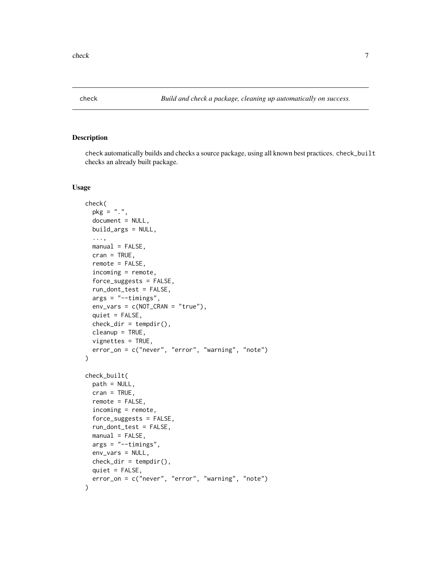<span id="page-6-0"></span>

check automatically builds and checks a source package, using all known best practices. check\_built checks an already built package.

```
check(
  pkg = ".",
  document = NULL,
 build_args = NULL,
  ...,
  manual = FALSE,cran = TRUE,remote = FALSE,incoming = remote,
  force_suggests = FALSE,
  run_dont_test = FALSE,
  args = "--timings",env\_vars = c(NOT_CRAM = "true"),quiet = FALSE,check\_dir = tempdir(),cleanup = TRUE,
  vignettes = TRUE,
  error_on = c("never", "error", "warning", "note")
\mathcal{L}check_built(
  path = NULL,
  cran = TRUE,
  remote = FALSE,
  incoming = remote,
  force_suggests = FALSE,
  run_dont_test = FALSE,
  manual = FALSE,args = "--timings",env_vars = NULL,
  check\_dir = tempdir(),quiet = FALSE,
  error_on = c("never", "error", "warning", "note")
)
```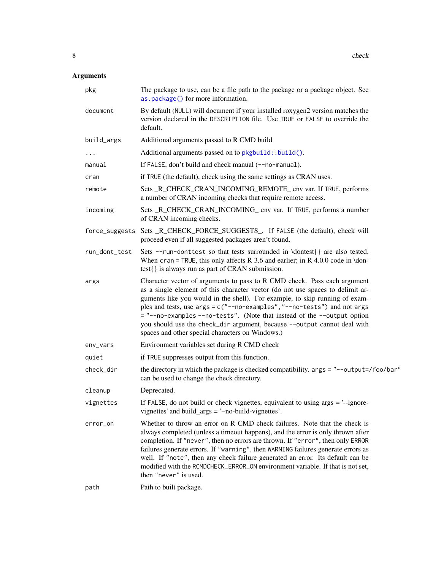# <span id="page-7-0"></span>Arguments

| pkg           | The package to use, can be a file path to the package or a package object. See<br>as.package() for more information.                                                                                                                                                                                                                                                                                                                                                                                                             |
|---------------|----------------------------------------------------------------------------------------------------------------------------------------------------------------------------------------------------------------------------------------------------------------------------------------------------------------------------------------------------------------------------------------------------------------------------------------------------------------------------------------------------------------------------------|
| document      | By default (NULL) will document if your installed roxygen2 version matches the<br>version declared in the DESCRIPTION file. Use TRUE or FALSE to override the<br>default.                                                                                                                                                                                                                                                                                                                                                        |
| build_args    | Additional arguments passed to R CMD build                                                                                                                                                                                                                                                                                                                                                                                                                                                                                       |
| $\cdots$      | Additional arguments passed on to pkgbuild::build().                                                                                                                                                                                                                                                                                                                                                                                                                                                                             |
| manual        | If FALSE, don't build and check manual (--no-manual).                                                                                                                                                                                                                                                                                                                                                                                                                                                                            |
| cran          | if TRUE (the default), check using the same settings as CRAN uses.                                                                                                                                                                                                                                                                                                                                                                                                                                                               |
| remote        | Sets _R_CHECK_CRAN_INCOMING_REMOTE_ env var. If TRUE, performs<br>a number of CRAN incoming checks that require remote access.                                                                                                                                                                                                                                                                                                                                                                                                   |
| incoming      | Sets _R_CHECK_CRAN_INCOMING_ env var. If TRUE, performs a number<br>of CRAN incoming checks.                                                                                                                                                                                                                                                                                                                                                                                                                                     |
|               | force_suggests Sets_R_CHECK_FORCE_SUGGESTS_. If FALSE (the default), check will<br>proceed even if all suggested packages aren't found.                                                                                                                                                                                                                                                                                                                                                                                          |
| run_dont_test | Sets --run-donttest so that tests surrounded in \dontest{} are also tested.<br>When cran = TRUE, this only affects R 3.6 and earlier; in R 4.0.0 code in \don-<br>test{} is always run as part of CRAN submission.                                                                                                                                                                                                                                                                                                               |
| args          | Character vector of arguments to pass to R CMD check. Pass each argument<br>as a single element of this character vector (do not use spaces to delimit ar-<br>guments like you would in the shell). For example, to skip running of exam-<br>ples and tests, use args = c("--no-examples", "--no-tests") and not args<br>= "--no-examples --no-tests". (Note that instead of the --output option<br>you should use the check_dir argument, because --output cannot deal with<br>spaces and other special characters on Windows.) |
| env_vars      | Environment variables set during R CMD check                                                                                                                                                                                                                                                                                                                                                                                                                                                                                     |
| quiet         | if TRUE suppresses output from this function.                                                                                                                                                                                                                                                                                                                                                                                                                                                                                    |
| check_dir     | the directory in which the package is checked compatibility. args = "--output=/foo/bar"<br>can be used to change the check directory.                                                                                                                                                                                                                                                                                                                                                                                            |
| cleanup       | Deprecated.                                                                                                                                                                                                                                                                                                                                                                                                                                                                                                                      |
| vignettes     | If FALSE, do not build or check vignettes, equivalent to using $args =$ '--ignore-<br>vignettes' and build_args = '-no-build-vignettes'.                                                                                                                                                                                                                                                                                                                                                                                         |
| error_on      | Whether to throw an error on R CMD check failures. Note that the check is<br>always completed (unless a timeout happens), and the error is only thrown after<br>completion. If "never", then no errors are thrown. If "error", then only ERROR<br>failures generate errors. If "warning", then WARNING failures generate errors as<br>well. If "note", then any check failure generated an error. Its default can be<br>modified with the RCMDCHECK_ERROR_ON environment variable. If that is not set,<br>then "never" is used.  |
| path          | Path to built package.                                                                                                                                                                                                                                                                                                                                                                                                                                                                                                           |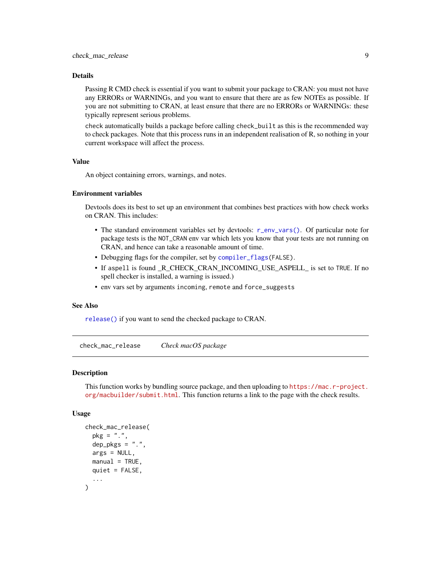#### <span id="page-8-0"></span>Details

Passing R CMD check is essential if you want to submit your package to CRAN: you must not have any ERRORs or WARNINGs, and you want to ensure that there are as few NOTEs as possible. If you are not submitting to CRAN, at least ensure that there are no ERRORs or WARNINGs: these typically represent serious problems.

check automatically builds a package before calling check\_built as this is the recommended way to check packages. Note that this process runs in an independent realisation of R, so nothing in your current workspace will affect the process.

#### Value

An object containing errors, warnings, and notes.

#### Environment variables

Devtools does its best to set up an environment that combines best practices with how check works on CRAN. This includes:

- The standard environment variables set by devtools: [r\\_env\\_vars\(\)](#page-0-0). Of particular note for package tests is the NOT\_CRAN env var which lets you know that your tests are not running on CRAN, and hence can take a reasonable amount of time.
- Debugging flags for the compiler, set by [compiler\\_flags\(](#page-0-0)FALSE).
- If aspell is found \_R\_CHECK\_CRAN\_INCOMING\_USE\_ASPELL\_ is set to TRUE. If no spell checker is installed, a warning is issued.)
- env vars set by arguments incoming, remote and force\_suggests

#### See Also

[release\(\)](#page-22-1) if you want to send the checked package to CRAN.

<span id="page-8-1"></span>check\_mac\_release *Check macOS package*

#### **Description**

This function works by bundling source package, and then uploading to [https://mac.r-project.](https://mac.r-project.org/macbuilder/submit.html) [org/macbuilder/submit.html](https://mac.r-project.org/macbuilder/submit.html). This function returns a link to the page with the check results.

```
check_mac_release(
 pkg = "."dep_{\neg}pkgs = "."args = NULL,
 manual = TRUE,
 quiet = FALSE,
  ...
)
```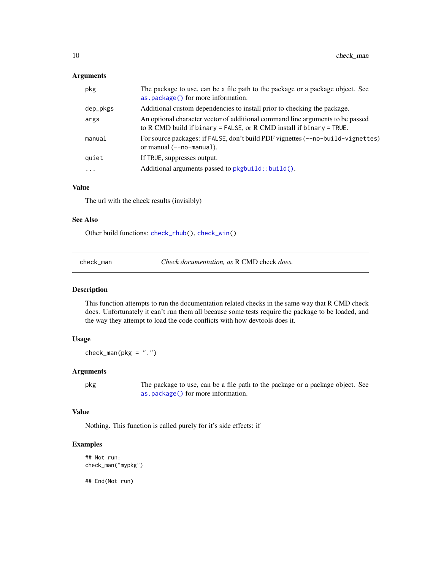#### <span id="page-9-0"></span>Arguments

| pkg       | The package to use, can be a file path to the package or a package object. See<br>as.package() for more information.                                   |
|-----------|--------------------------------------------------------------------------------------------------------------------------------------------------------|
| dep_pkgs  | Additional custom dependencies to install prior to checking the package.                                                                               |
| args      | An optional character vector of additional command line arguments to be passed<br>to R CMD build if binary = FALSE, or R CMD install if binary = TRUE. |
| manual    | For source packages: if FALSE, don't build PDF vignettes (--no-build-vignettes)<br>or manual $(-no-manual)$ .                                          |
| quiet     | If TRUE, suppresses output.                                                                                                                            |
| $\ddotsc$ | Additional arguments passed to pkgbuild::build().                                                                                                      |
|           |                                                                                                                                                        |

## Value

The url with the check results (invisibly)

#### See Also

Other build functions: [check\\_rhub\(](#page-10-1)), [check\\_win\(](#page-11-1))

check\_man *Check documentation, as* R CMD check *does.*

#### Description

This function attempts to run the documentation related checks in the same way that R CMD check does. Unfortunately it can't run them all because some tests require the package to be loaded, and the way they attempt to load the code conflicts with how devtools does it.

#### Usage

 $check\_man(pkg = "."')$ 

#### Arguments

pkg The package to use, can be a file path to the package or a package object. See [as.package\(\)](#page-0-0) for more information.

#### Value

Nothing. This function is called purely for it's side effects: if

#### Examples

```
## Not run:
check_man("mypkg")
```
## End(Not run)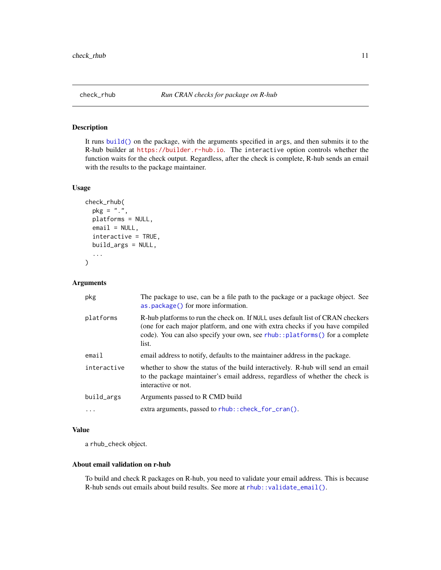<span id="page-10-1"></span><span id="page-10-0"></span>It runs [build\(\)](#page-2-1) on the package, with the arguments specified in args, and then submits it to the R-hub builder at <https://builder.r-hub.io>. The interactive option controls whether the function waits for the check output. Regardless, after the check is complete, R-hub sends an email with the results to the package maintainer.

#### Usage

```
check_rhub(
 pkg = "."platforms = NULL,
 email = NULL,interactive = TRUE,
 build_args = NULL,
  ...
)
```
#### Arguments

| pkg         | The package to use, can be a file path to the package or a package object. See<br>as.package() for more information.                                                                                                                                   |
|-------------|--------------------------------------------------------------------------------------------------------------------------------------------------------------------------------------------------------------------------------------------------------|
| platforms   | R-hub platforms to run the check on. If NULL uses default list of CRAN checkers<br>(one for each major platform, and one with extra checks if you have compiled<br>code). You can also specify your own, see rhub::platforms() for a complete<br>list. |
| email       | email address to notify, defaults to the maintainer address in the package.                                                                                                                                                                            |
| interactive | whether to show the status of the build interactively. R-hub will send an email<br>to the package maintainer's email address, regardless of whether the check is<br>interactive or not.                                                                |
| build_args  | Arguments passed to R CMD build                                                                                                                                                                                                                        |
|             | extra arguments, passed to rhub:: check_for_cran().                                                                                                                                                                                                    |
|             |                                                                                                                                                                                                                                                        |

#### Value

a rhub\_check object.

#### About email validation on r-hub

To build and check R packages on R-hub, you need to validate your email address. This is because R-hub sends out emails about build results. See more at [rhub::validate\\_email\(\)](#page-0-0).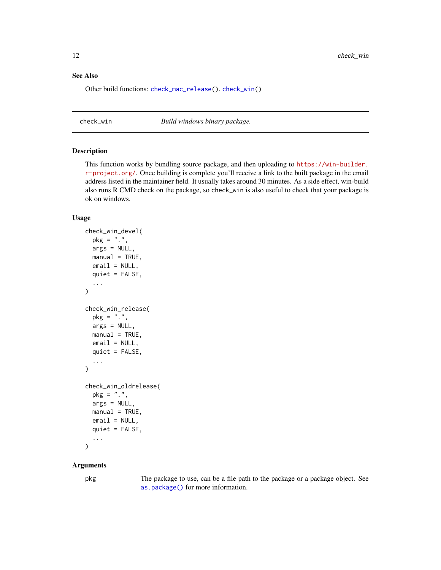#### <span id="page-11-0"></span>See Also

Other build functions: [check\\_mac\\_release\(](#page-8-1)), [check\\_win\(](#page-11-1))

<span id="page-11-1"></span>

check\_win *Build windows binary package.*

#### Description

This function works by bundling source package, and then uploading to [https://win-builder.](https://win-builder.r-project.org/) [r-project.org/](https://win-builder.r-project.org/). Once building is complete you'll receive a link to the built package in the email address listed in the maintainer field. It usually takes around 30 minutes. As a side effect, win-build also runs R CMD check on the package, so check\_win is also useful to check that your package is ok on windows.

#### Usage

```
check_win_devel(
 pkg = ".",
  args = NULL,
 manual = TRUE,email = NULL,quiet = FALSE,
  ...
\mathcal{L}check_win_release(
 pkg = "."args = NULL,
 manual = TRUE,email = NULL,quiet = FALSE,
  ...
)
check_win_oldrelease(
 pkg = "."args = NULL,manual = TRUE,
 email = NULL,quiet = FALSE,...
)
```
#### Arguments

pkg The package to use, can be a file path to the package or a package object. See [as.package\(\)](#page-0-0) for more information.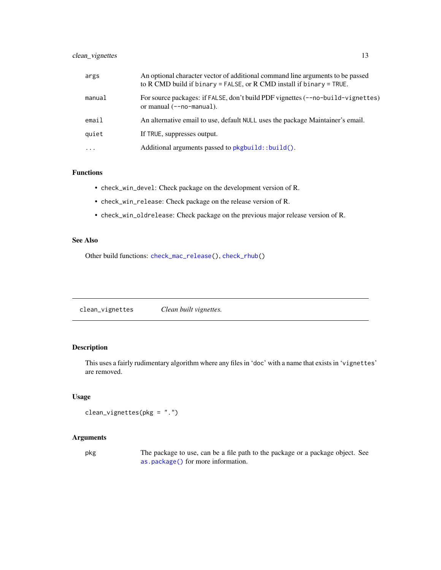#### <span id="page-12-0"></span>clean\_vignettes 13

| args     | An optional character vector of additional command line arguments to be passed<br>to R CMD build if binary = FALSE, or R CMD install if binary = TRUE. |
|----------|--------------------------------------------------------------------------------------------------------------------------------------------------------|
| manual   | For source packages: if FALSE, don't build PDF vignettes (--no-build-vignettes)<br>or manual $(-no-manual)$ .                                          |
| email    | An alternative email to use, default NULL uses the package Maintainer's email.                                                                         |
| quiet    | If TRUE, suppresses output.                                                                                                                            |
| $\cdots$ | Additional arguments passed to pkgbuild::build().                                                                                                      |

#### Functions

- check\_win\_devel: Check package on the development version of R.
- check\_win\_release: Check package on the release version of R.
- check\_win\_oldrelease: Check package on the previous major release version of R.

#### See Also

Other build functions: [check\\_mac\\_release\(](#page-8-1)), [check\\_rhub\(](#page-10-1))

<span id="page-12-1"></span>clean\_vignettes *Clean built vignettes.*

#### Description

This uses a fairly rudimentary algorithm where any files in 'doc' with a name that exists in 'vignettes' are removed.

#### Usage

clean\_vignettes(pkg = ".")

#### Arguments

pkg The package to use, can be a file path to the package or a package object. See [as.package\(\)](#page-0-0) for more information.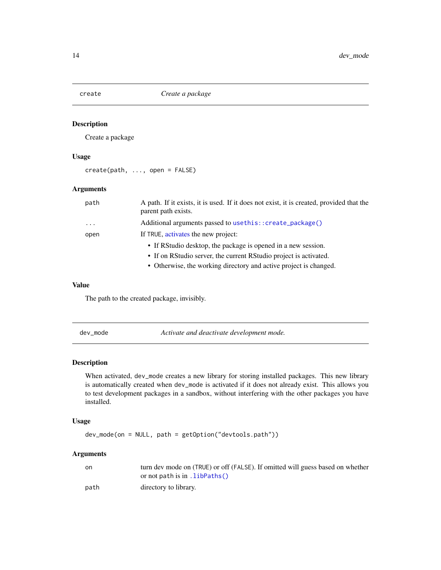<span id="page-13-0"></span>

Create a package

#### Usage

create(path, ..., open = FALSE)

#### Arguments

| path     | A path. If it exists, it is used. If it does not exist, it is created, provided that the<br>parent path exists. |
|----------|-----------------------------------------------------------------------------------------------------------------|
| $\cdots$ | Additional arguments passed to usethis:: create_package()                                                       |
| open     | If TRUE, activates the new project:                                                                             |
|          | • If RStudio desktop, the package is opened in a new session.                                                   |
|          | • If on RStudio server, the current RStudio project is activated.                                               |
|          | • Otherwise, the working directory and active project is changed.                                               |

#### Value

The path to the created package, invisibly.

dev\_mode *Activate and deactivate development mode.*

#### Description

When activated, dev\_mode creates a new library for storing installed packages. This new library is automatically created when dev\_mode is activated if it does not already exist. This allows you to test development packages in a sandbox, without interfering with the other packages you have installed.

#### Usage

dev\_mode(on = NULL, path = getOption("devtools.path"))

#### Arguments

| on   | turn dev mode on (TRUE) or off (FALSE). If omitted will guess based on whether<br>or not path is in $.libPaths()$ |
|------|-------------------------------------------------------------------------------------------------------------------|
|      |                                                                                                                   |
| path | directory to library.                                                                                             |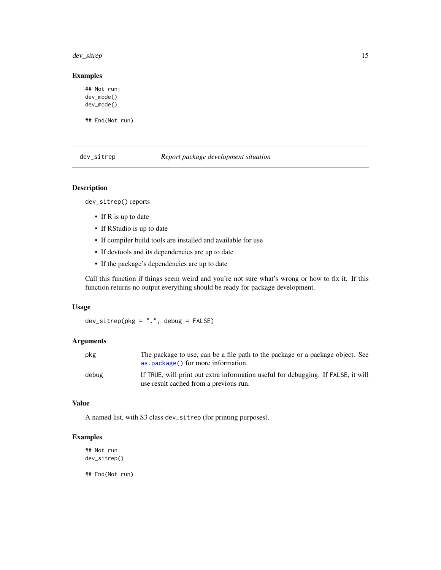<span id="page-14-0"></span>dev\_sitrep 15

#### Examples

```
## Not run:
dev_mode()
dev_mode()
```
## End(Not run)

dev\_sitrep *Report package development situation*

#### Description

dev\_sitrep() reports

- If R is up to date
- If RStudio is up to date
- If compiler build tools are installed and available for use
- If devtools and its dependencies are up to date
- If the package's dependencies are up to date

Call this function if things seem weird and you're not sure what's wrong or how to fix it. If this function returns no output everything should be ready for package development.

#### Usage

 $dev\_sitrep(pkg = "."$ , debug =  $FALSE)$ 

#### Arguments

| pkg   | The package to use, can be a file path to the package or a package object. See<br>as . package () for more information.     |
|-------|-----------------------------------------------------------------------------------------------------------------------------|
| debug | If TRUE, will print out extra information useful for debugging. If FALSE, it will<br>use result cached from a previous run. |

# Value

A named list, with S3 class dev\_sitrep (for printing purposes).

#### Examples

## Not run: dev\_sitrep() ## End(Not run)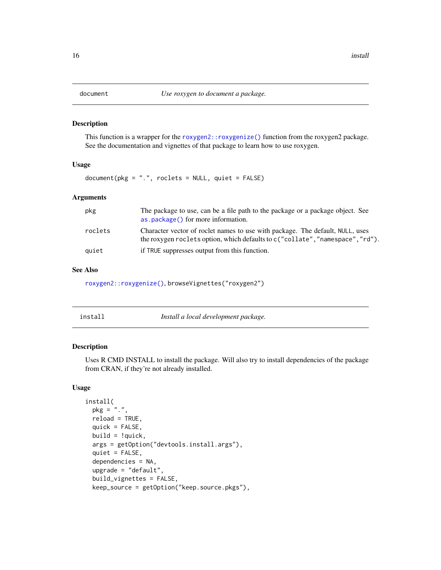<span id="page-15-1"></span><span id="page-15-0"></span>

This function is a wrapper for the [roxygen2::roxygenize\(\)](#page-0-0) function from the roxygen2 package. See the documentation and vignettes of that package to learn how to use roxygen.

#### Usage

document(pkg = ".", roclets = NULL, quiet = FALSE)

#### Arguments

| pkg     | The package to use, can be a file path to the package or a package object. See<br>as . package () for more information.                                            |
|---------|--------------------------------------------------------------------------------------------------------------------------------------------------------------------|
| roclets | Character vector of roclet names to use with package. The default, NULL, uses<br>the roxygen roclets option, which defaults to $c$ ("collate", "namespace", "rd"). |
| quiet   | if TRUE suppresses output from this function.                                                                                                                      |

#### See Also

[roxygen2::roxygenize\(\)](#page-0-0), browseVignettes("roxygen2")

<span id="page-15-2"></span>

| install | Install a local development package. |
|---------|--------------------------------------|
|         |                                      |

#### Description

Uses R CMD INSTALL to install the package. Will also try to install dependencies of the package from CRAN, if they're not already installed.

```
install(
 pkg = ".",
  reload = TRUE,
  quick = FALSE,build = !quick,
  args = getOption("devtools.install.args"),
  quiet = FALSE,
  dependencies = NA,
  upgrade = "default",
  build_vignettes = FALSE,
 keep_source = getOption("keep.source.pkgs"),
```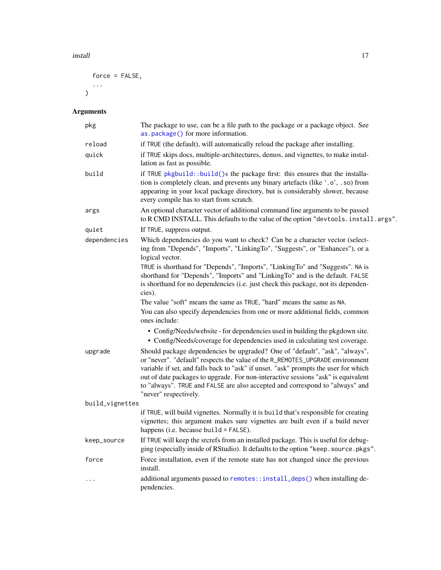#### <span id="page-16-0"></span>install the contract of the contract of the contract of the contract of the contract of the contract of the contract of the contract of the contract of the contract of the contract of the contract of the contract of the co

```
force = FALSE,
...
\big)
```
# Arguments

| pkg             | The package to use, can be a file path to the package or a package object. See<br>as.package() for more information.                                                                                                                                                                                                                                                                                                                              |
|-----------------|---------------------------------------------------------------------------------------------------------------------------------------------------------------------------------------------------------------------------------------------------------------------------------------------------------------------------------------------------------------------------------------------------------------------------------------------------|
| reload          | if TRUE (the default), will automatically reload the package after installing.                                                                                                                                                                                                                                                                                                                                                                    |
| quick           | if TRUE skips docs, multiple-architectures, demos, and vignettes, to make instal-<br>lation as fast as possible.                                                                                                                                                                                                                                                                                                                                  |
| build           | if TRUE pkgbuild::build()s the package first: this ensures that the installa-<br>tion is completely clean, and prevents any binary artefacts (like '.o', .so) from<br>appearing in your local package directory, but is considerably slower, because<br>every compile has to start from scratch.                                                                                                                                                  |
| args            | An optional character vector of additional command line arguments to be passed<br>to R CMD INSTALL. This defaults to the value of the option "devtools. install.args".                                                                                                                                                                                                                                                                            |
| quiet           | If TRUE, suppress output.                                                                                                                                                                                                                                                                                                                                                                                                                         |
| dependencies    | Which dependencies do you want to check? Can be a character vector (select-<br>ing from "Depends", "Imports", "LinkingTo", "Suggests", or "Enhances"), or a<br>logical vector.                                                                                                                                                                                                                                                                    |
|                 | TRUE is shorthand for "Depends", "Imports", "LinkingTo" and "Suggests". NA is<br>shorthand for "Depends", "Imports" and "LinkingTo" and is the default. FALSE<br>is shorthand for no dependencies (i.e. just check this package, not its dependen-<br>cies).                                                                                                                                                                                      |
|                 | The value "soft" means the same as TRUE, "hard" means the same as NA.<br>You can also specify dependencies from one or more additional fields, common<br>ones include:                                                                                                                                                                                                                                                                            |
|                 | • Config/Needs/website - for dependencies used in building the pkgdown site.<br>• Config/Needs/coverage for dependencies used in calculating test coverage.                                                                                                                                                                                                                                                                                       |
| upgrade         | Should package dependencies be upgraded? One of "default", "ask", "always",<br>or "never". "default" respects the value of the R_REMOTES_UPGRADE environment<br>variable if set, and falls back to "ask" if unset. "ask" prompts the user for which<br>out of date packages to upgrade. For non-interactive sessions "ask" is equivalent<br>to "always". TRUE and FALSE are also accepted and correspond to "always" and<br>"never" respectively. |
| build_vignettes |                                                                                                                                                                                                                                                                                                                                                                                                                                                   |
|                 | if TRUE, will build vignettes. Normally it is build that's responsible for creating<br>vignettes; this argument makes sure vignettes are built even if a build never<br>happens (i.e. because build = $FALSE$ ).                                                                                                                                                                                                                                  |
| keep_source     | If TRUE will keep the srcrefs from an installed package. This is useful for debug-<br>ging (especially inside of RStudio). It defaults to the option "keep. source.pkgs".                                                                                                                                                                                                                                                                         |
| force           | Force installation, even if the remote state has not changed since the previous<br>install.                                                                                                                                                                                                                                                                                                                                                       |
| $\cdots$        | additional arguments passed to remotes::install_deps() when installing de-<br>pendencies.                                                                                                                                                                                                                                                                                                                                                         |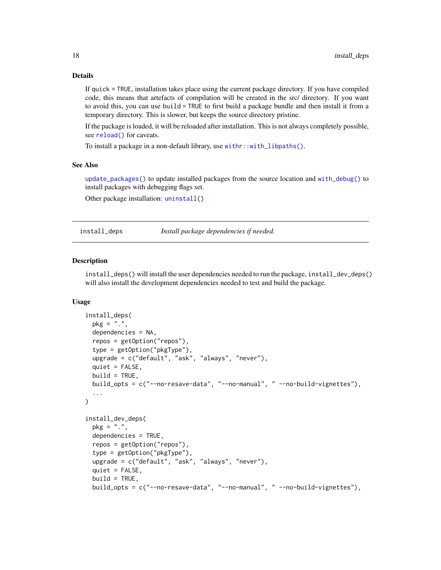#### Details

If quick = TRUE, installation takes place using the current package directory. If you have compiled code, this means that artefacts of compilation will be created in the src/ directory. If you want to avoid this, you can use build = TRUE to first build a package bundle and then install it from a temporary directory. This is slower, but keeps the source directory pristine.

If the package is loaded, it will be reloaded after installation. This is not always completely possible, see [reload\(\)](#page-23-1) for caveats.

To install a package in a non-default library, use [withr::with\\_libpaths\(\)](#page-0-0).

#### See Also

[update\\_packages\(\)](#page-0-0) to update installed packages from the source location and [with\\_debug\(\)](#page-0-0) to install packages with debugging flags set.

Other package installation: [uninstall\(](#page-28-1))

install\_deps *Install package dependencies if needed.*

#### Description

install\_deps() will install the user dependencies needed to run the package, install\_dev\_deps() will also install the development dependencies needed to test and build the package.

```
install_deps(
 pkg = "."dependencies = NA,
  repos = getOption("repos"),
  type = getOption("pkgType"),
 upgrade = c("default", "ask", "always", "never"),
 quiet = FALSE,
 build = TRUE,build_opts = c("--no-resave-data", "--no-manual", " --no-build-vignettes"),
  ...
)
install_dev_deps(
 pkg = "."dependencies = TRUE,
  repos = getOption("repos"),
  type = getOption("pkgType"),
  upgrade = c("default", "ask", "always", "never"),
  quiet = FALSE,
 build = TRUE,build_opts = c("--no-resave-data", "--no-manual", " --no-build-vignettes"),
```
<span id="page-17-0"></span>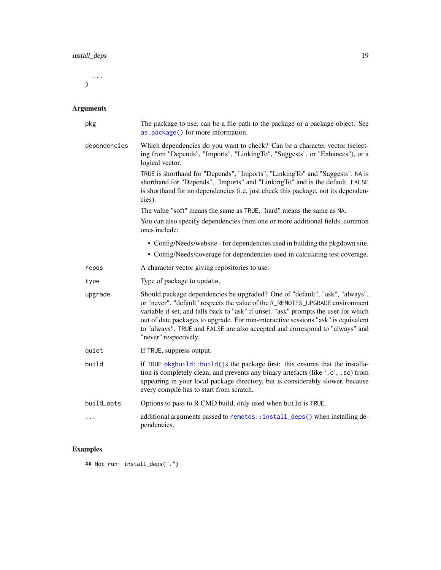<span id="page-18-0"></span>...  $\mathcal{L}$ 

# Arguments

| pkg          | The package to use, can be a file path to the package or a package object. See<br>as.package() for more information.                                                                                                                                                                                                                                                                                                                              |
|--------------|---------------------------------------------------------------------------------------------------------------------------------------------------------------------------------------------------------------------------------------------------------------------------------------------------------------------------------------------------------------------------------------------------------------------------------------------------|
| dependencies | Which dependencies do you want to check? Can be a character vector (select-<br>ing from "Depends", "Imports", "LinkingTo", "Suggests", or "Enhances"), or a<br>logical vector.                                                                                                                                                                                                                                                                    |
|              | TRUE is shorthand for "Depends", "Imports", "LinkingTo" and "Suggests". NA is<br>shorthand for "Depends", "Imports" and "LinkingTo" and is the default. FALSE<br>is shorthand for no dependencies (i.e. just check this package, not its dependen-<br>cies).                                                                                                                                                                                      |
|              | The value "soft" means the same as TRUE, "hard" means the same as NA.                                                                                                                                                                                                                                                                                                                                                                             |
|              | You can also specify dependencies from one or more additional fields, common<br>ones include:                                                                                                                                                                                                                                                                                                                                                     |
|              | • Config/Needs/website - for dependencies used in building the pkgdown site.                                                                                                                                                                                                                                                                                                                                                                      |
|              | • Config/Needs/coverage for dependencies used in calculating test coverage.                                                                                                                                                                                                                                                                                                                                                                       |
| repos        | A character vector giving repositories to use.                                                                                                                                                                                                                                                                                                                                                                                                    |
| type         | Type of package to update.                                                                                                                                                                                                                                                                                                                                                                                                                        |
| upgrade      | Should package dependencies be upgraded? One of "default", "ask", "always",<br>or "never". "default" respects the value of the R_REMOTES_UPGRADE environment<br>variable if set, and falls back to "ask" if unset. "ask" prompts the user for which<br>out of date packages to upgrade. For non-interactive sessions "ask" is equivalent<br>to "always". TRUE and FALSE are also accepted and correspond to "always" and<br>"never" respectively. |
| quiet        | If TRUE, suppress output.                                                                                                                                                                                                                                                                                                                                                                                                                         |
| build        | if TRUE pkgbuild::build()s the package first: this ensures that the installa-<br>tion is completely clean, and prevents any binary artefacts (like '.o', .so) from<br>appearing in your local package directory, but is considerably slower, because<br>every compile has to start from scratch.                                                                                                                                                  |
| build_opts   | Options to pass to R CMD build, only used when build is TRUE.                                                                                                                                                                                                                                                                                                                                                                                     |
| .            | additional arguments passed to remotes::install_deps() when installing de-<br>pendencies.                                                                                                                                                                                                                                                                                                                                                         |

# Examples

## Not run: install\_deps(".")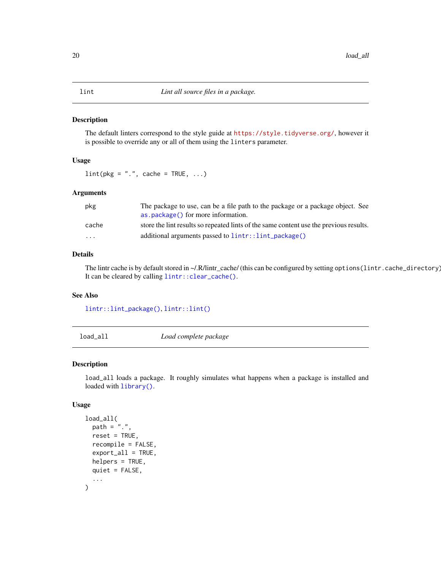<span id="page-19-0"></span>The default linters correspond to the style guide at <https://style.tidyverse.org/>, however it is possible to override any or all of them using the linters parameter.

#### Usage

 $\text{lint}(\text{pkg} = "."$ , cache = TRUE, ...)

#### Arguments

| pkg     | The package to use, can be a file path to the package or a package object. See         |
|---------|----------------------------------------------------------------------------------------|
|         | as . package () for more information.                                                  |
| cache   | store the lint results so repeated lints of the same content use the previous results. |
| $\cdot$ | additional arguments passed to lintr::lint_package()                                   |

#### Details

The lintr cache is by default stored in ~/.R/lintr\_cache/ (this can be configured by setting options(lintr.cache\_directory)). It can be cleared by calling [lintr::clear\\_cache\(\)](#page-0-0).

#### See Also

[lintr::lint\\_package\(\)](#page-0-0), [lintr::lint\(\)](#page-0-0)

<span id="page-19-1"></span>load\_all *Load complete package*

#### Description

load\_all loads a package. It roughly simulates what happens when a package is installed and loaded with [library\(\)](#page-0-0).

```
load_all(
 path = ".'',reset = TRUE,
  recompile = FALSE,
  export_all = TRUE,helpers = TRUE,
  quiet = FALSE,
  ...
)
```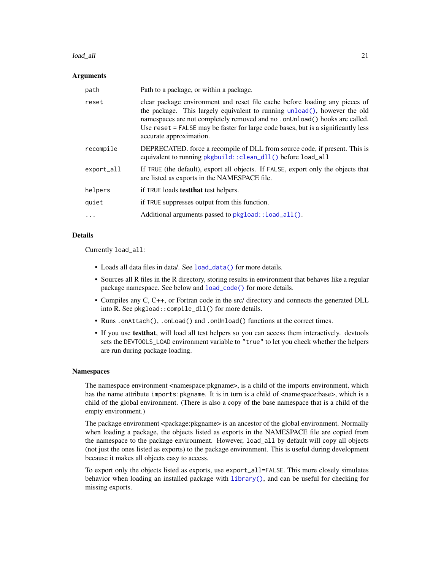#### <span id="page-20-0"></span>load\_all 21

#### Arguments

| path       | Path to a package, or within a package.                                                                                                                                                                                                                                                                                                                |
|------------|--------------------------------------------------------------------------------------------------------------------------------------------------------------------------------------------------------------------------------------------------------------------------------------------------------------------------------------------------------|
| reset      | clear package environment and reset file cache before loading any pieces of<br>the package. This largely equivalent to running unload(), however the old<br>namespaces are not completely removed and no .onUnload() hooks are called.<br>Use reset = FALSE may be faster for large code bases, but is a significantly less<br>accurate approximation. |
| recompile  | DEPRECATED. force a recompile of DLL from source code, if present. This is<br>equivalent to running pkgbuild:: clean_dll() before load_all                                                                                                                                                                                                             |
| export_all | If TRUE (the default), export all objects. If FALSE, export only the objects that<br>are listed as exports in the NAMESPACE file.                                                                                                                                                                                                                      |
| helpers    | if TRUE loads test that test helpers.                                                                                                                                                                                                                                                                                                                  |
| quiet      | if TRUE suppresses output from this function.                                                                                                                                                                                                                                                                                                          |
|            | Additional arguments passed to pkgload:: load_all().                                                                                                                                                                                                                                                                                                   |

#### Details

Currently load\_all:

- Loads all data files in data/. See [load\\_data\(\)](#page-0-0) for more details.
- Sources all R files in the R directory, storing results in environment that behaves like a regular package namespace. See below and [load\\_code\(\)](#page-0-0) for more details.
- Compiles any C, C++, or Fortran code in the src/ directory and connects the generated DLL into R. See pkgload::compile\_dll() for more details.
- Runs .onAttach(), .onLoad() and .onUnload() functions at the correct times.
- If you use testthat, will load all test helpers so you can access them interactively. devtools sets the DEVTOOLS\_LOAD environment variable to "true" to let you check whether the helpers are run during package loading.

#### Namespaces

The namespace environment <namespace:pkgname>, is a child of the imports environment, which has the name attribute imports: pkgname. It is in turn is a child of  $\leq$ namespace: base $\geq$ , which is a child of the global environment. (There is also a copy of the base namespace that is a child of the empty environment.)

The package environment <package:pkgname> is an ancestor of the global environment. Normally when loading a package, the objects listed as exports in the NAMESPACE file are copied from the namespace to the package environment. However, load\_all by default will copy all objects (not just the ones listed as exports) to the package environment. This is useful during development because it makes all objects easy to access.

To export only the objects listed as exports, use export\_all=FALSE. This more closely simulates behavior when loading an installed package with [library\(\)](#page-0-0), and can be useful for checking for missing exports.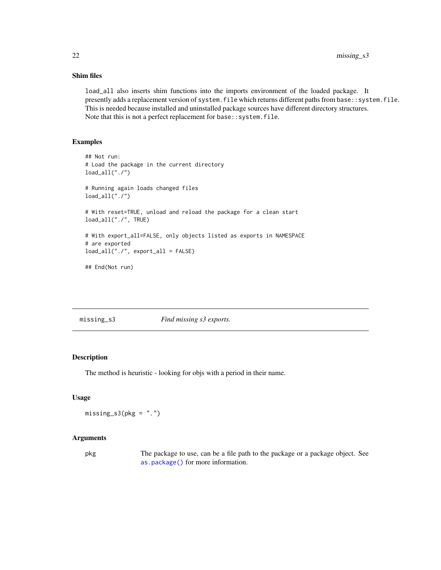#### <span id="page-21-0"></span>Shim files

load\_all also inserts shim functions into the imports environment of the loaded package. It presently adds a replacement version of system. file which returns different paths from base:: system. file. This is needed because installed and uninstalled package sources have different directory structures. Note that this is not a perfect replacement for base:: system.file.

### Examples

```
## Not run:
# Load the package in the current directory
load_all("./")
# Running again loads changed files
load_all("./")
# With reset=TRUE, unload and reload the package for a clean start
load_all("./", TRUE)
# With export_all=FALSE, only objects listed as exports in NAMESPACE
# are exported
load_all("./", export_all = FALSE)
```
## End(Not run)

missing\_s3 *Find missing s3 exports.*

#### Description

The method is heuristic - looking for objs with a period in their name.

#### Usage

 $missing_s3(pkg = "."')$ 

#### Arguments

pkg The package to use, can be a file path to the package or a package object. See [as.package\(\)](#page-0-0) for more information.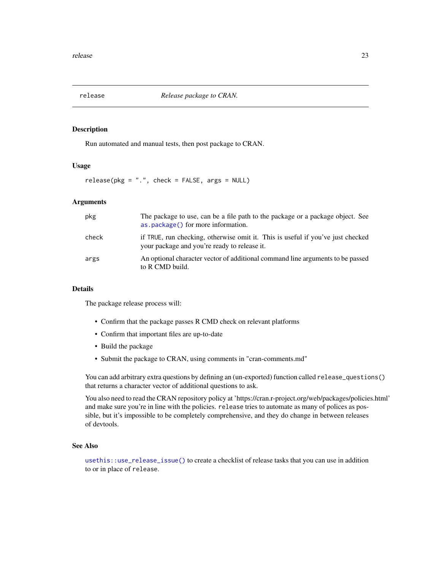<span id="page-22-1"></span><span id="page-22-0"></span>

Run automated and manual tests, then post package to CRAN.

#### Usage

release(pkg = ".", check = FALSE, args = NULL)

#### Arguments

| pkg   | The package to use, can be a file path to the package or a package object. See<br>as.package() for more information.            |
|-------|---------------------------------------------------------------------------------------------------------------------------------|
| check | if TRUE, run checking, otherwise omit it. This is useful if you've just checked<br>your package and you're ready to release it. |
| args  | An optional character vector of additional command line arguments to be passed<br>to R CMD build.                               |

#### Details

The package release process will:

- Confirm that the package passes R CMD check on relevant platforms
- Confirm that important files are up-to-date
- Build the package
- Submit the package to CRAN, using comments in "cran-comments.md"

You can add arbitrary extra questions by defining an (un-exported) function called release\_questions() that returns a character vector of additional questions to ask.

You also need to read the CRAN repository policy at 'https://cran.r-project.org/web/packages/policies.html' and make sure you're in line with the policies. release tries to automate as many of polices as possible, but it's impossible to be completely comprehensive, and they do change in between releases of devtools.

#### See Also

[usethis::use\\_release\\_issue\(\)](#page-0-0) to create a checklist of release tasks that you can use in addition to or in place of release.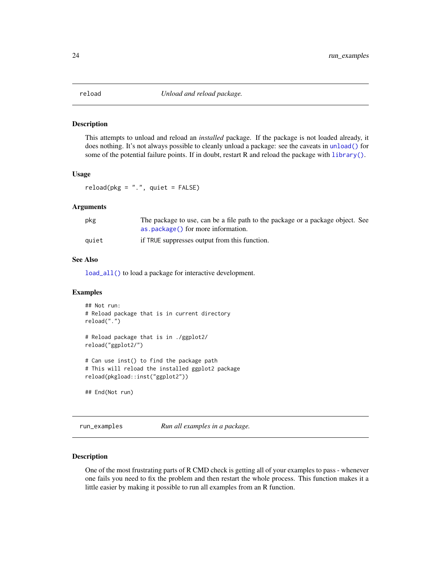<span id="page-23-1"></span><span id="page-23-0"></span>

This attempts to unload and reload an *installed* package. If the package is not loaded already, it does nothing. It's not always possible to cleanly unload a package: see the caveats in [unload\(\)](#page-0-0) for some of the potential failure points. If in doubt, restart R and reload the package with  $\text{library}()$ .

#### Usage

 $reload(pkg = "."$ , quiet =  $FALSE)$ 

#### Arguments

| pkg   | The package to use, can be a file path to the package or a package object. See |
|-------|--------------------------------------------------------------------------------|
|       | as.package() for more information.                                             |
| auiet | if TRUE suppresses output from this function.                                  |

#### See Also

[load\\_all\(\)](#page-19-1) to load a package for interactive development.

#### Examples

```
## Not run:
# Reload package that is in current directory
reload(".")
# Reload package that is in ./ggplot2/
reload("ggplot2/")
# Can use inst() to find the package path
# This will reload the installed ggplot2 package
reload(pkgload::inst("ggplot2"))
## End(Not run)
```
run\_examples *Run all examples in a package.*

#### Description

One of the most frustrating parts of R CMD check is getting all of your examples to pass - whenever one fails you need to fix the problem and then restart the whole process. This function makes it a little easier by making it possible to run all examples from an R function.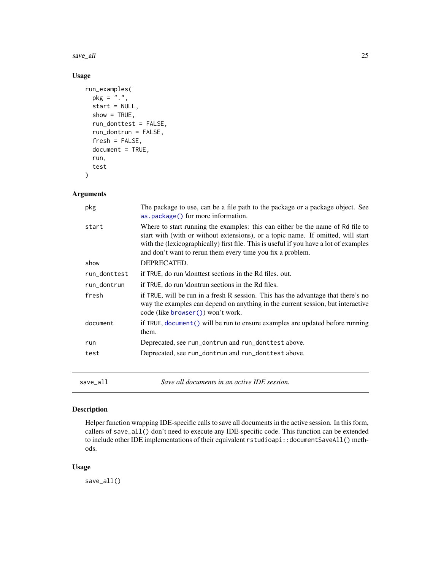<span id="page-24-0"></span>save\_all 25

# Usage

```
run_examples(
 pkg = "."start = NULL,show = TRUE,run_donttest = FALSE,
  run_dontrun = FALSE,
  fresh = FALSE,document = TRUE,
 run,
  test
)
```
### Arguments

| pkg          | The package to use, can be a file path to the package or a package object. See<br>as . package () for more information.                                                                                                                                                                                                   |
|--------------|---------------------------------------------------------------------------------------------------------------------------------------------------------------------------------------------------------------------------------------------------------------------------------------------------------------------------|
| start        | Where to start running the examples: this can either be the name of Rd file to<br>start with (with or without extensions), or a topic name. If omitted, will start<br>with the (lexicographically) first file. This is useful if you have a lot of examples<br>and don't want to rerun them every time you fix a problem. |
| show         | DEPRECATED.                                                                                                                                                                                                                                                                                                               |
| run_donttest | if TRUE, do run \donttest sections in the Rd files. out.                                                                                                                                                                                                                                                                  |
| run_dontrun  | if TRUE, do run \dontrun sections in the Rd files.                                                                                                                                                                                                                                                                        |
| fresh        | if TRUE, will be run in a fresh R session. This has the advantage that there's no<br>way the examples can depend on anything in the current session, but interactive<br>code (like browser () won't work.                                                                                                                 |
| document     | if TRUE, document () will be run to ensure examples are updated before running<br>them.                                                                                                                                                                                                                                   |
| run          | Deprecated, see run_dontrun and run_donttest above.                                                                                                                                                                                                                                                                       |
| test         | Deprecated, see run_dontrun and run_donttest above.                                                                                                                                                                                                                                                                       |
|              |                                                                                                                                                                                                                                                                                                                           |

save\_all *Save all documents in an active IDE session.*

#### Description

Helper function wrapping IDE-specific calls to save all documents in the active session. In this form, callers of save\_all() don't need to execute any IDE-specific code. This function can be extended to include other IDE implementations of their equivalent rstudioapi::documentSaveAll() methods.

#### Usage

save\_all()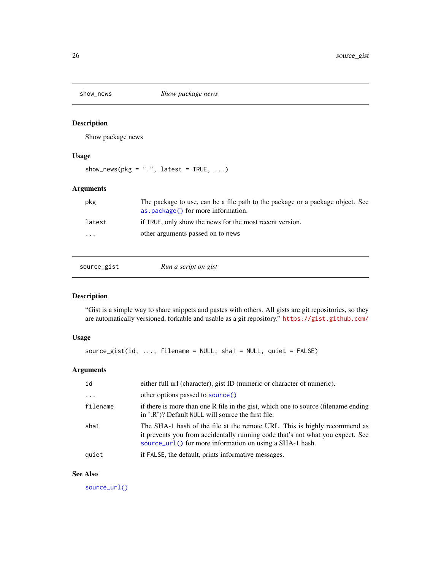<span id="page-25-0"></span>

Show package news

#### Usage

```
show_news(pkg = ".". latest = TRUE, ...)
```
#### Arguments

| pkg                  | The package to use, can be a file path to the package or a package object. See<br>as . package () for more information. |
|----------------------|-------------------------------------------------------------------------------------------------------------------------|
| latest               | if TRUE, only show the news for the most recent version.                                                                |
| $\ddot{\phantom{0}}$ | other arguments passed on to news                                                                                       |
|                      |                                                                                                                         |

<span id="page-25-1"></span>source\_gist *Run a script on gist*

#### Description

"Gist is a simple way to share snippets and pastes with others. All gists are git repositories, so they are automatically versioned, forkable and usable as a git repository." <https://gist.github.com/>

#### Usage

```
source_gist(id, ..., filename = NULL, sha1 = NULL, quiet = FALSE)
```
#### Arguments

| id       | either full url (character), gist ID (numeric or character of numeric).                                                                                                                                                 |
|----------|-------------------------------------------------------------------------------------------------------------------------------------------------------------------------------------------------------------------------|
|          | other options passed to source()                                                                                                                                                                                        |
| filename | if there is more than one R file in the gist, which one to source (filename ending<br>in '.R')? Default NULL will source the first file.                                                                                |
| sha1     | The SHA-1 hash of the file at the remote URL. This is highly recommend as<br>it prevents you from accidentally running code that's not what you expect. See<br>source_url() for more information on using a SHA-1 hash. |
| quiet    | if FALSE, the default, prints informative messages.                                                                                                                                                                     |

#### See Also

[source\\_url\(\)](#page-26-1)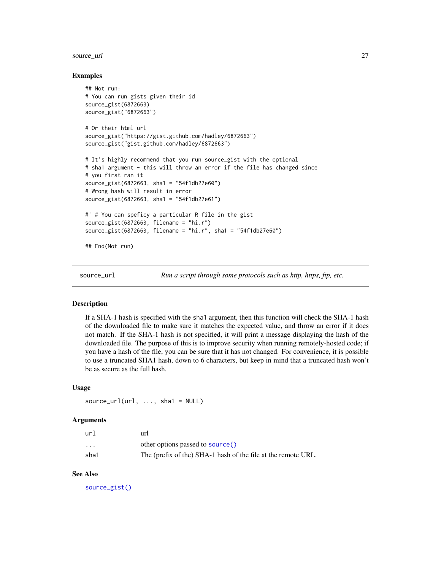#### <span id="page-26-0"></span>source\_url 27

#### Examples

```
## Not run:
# You can run gists given their id
source_gist(6872663)
source_gist("6872663")
# Or their html url
source_gist("https://gist.github.com/hadley/6872663")
source_gist("gist.github.com/hadley/6872663")
# It's highly recommend that you run source_gist with the optional
# sha1 argument - this will throw an error if the file has changed since
# you first ran it
source_gist(6872663, sha1 = "54f1db27e60")
# Wrong hash will result in error
source_gist(6872663, sha1 = "54f1db27e61")
#' # You can speficy a particular R file in the gist
source_gist(6872663, filename = "hi.r")
source_gist(6872663, filename = "hi.r", sha1 = "54f1db27e60")
## End(Not run)
```
<span id="page-26-1"></span>source\_url *Run a script through some protocols such as http, https, ftp, etc.*

#### Description

If a SHA-1 hash is specified with the sha1 argument, then this function will check the SHA-1 hash of the downloaded file to make sure it matches the expected value, and throw an error if it does not match. If the SHA-1 hash is not specified, it will print a message displaying the hash of the downloaded file. The purpose of this is to improve security when running remotely-hosted code; if you have a hash of the file, you can be sure that it has not changed. For convenience, it is possible to use a truncated SHA1 hash, down to 6 characters, but keep in mind that a truncated hash won't be as secure as the full hash.

#### Usage

 $source\_url(url, ..., sha1 = NULL)$ 

#### Arguments

| url                     | url                                                           |
|-------------------------|---------------------------------------------------------------|
| $\cdot$ $\cdot$ $\cdot$ | other options passed to source()                              |
| sha1                    | The (prefix of the) SHA-1 hash of the file at the remote URL. |

#### See Also

[source\\_gist\(\)](#page-25-1)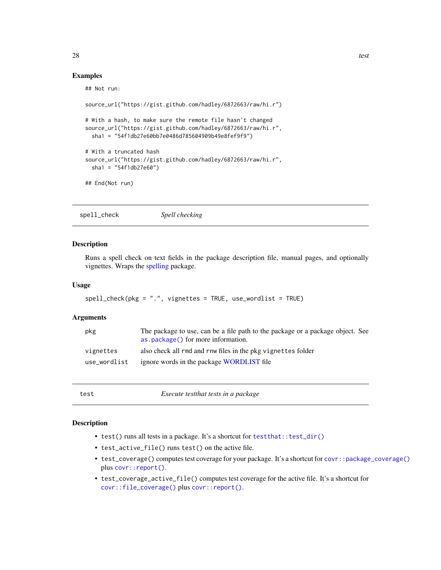#### Examples

```
## Not run:
source_url("https://gist.github.com/hadley/6872663/raw/hi.r")
# With a hash, to make sure the remote file hasn't changed
source_url("https://gist.github.com/hadley/6872663/raw/hi.r",
 sha1 = "54f1db27e60bb7e0486d785604909b49e8fef9f9")
# With a truncated hash
source_url("https://gist.github.com/hadley/6872663/raw/hi.r",
 sha1 = "54f1db27e60")
## End(Not run)
```
spell\_check *Spell checking*

#### Description

Runs a spell check on text fields in the package description file, manual pages, and optionally vignettes. Wraps the [spelling](#page-0-0) package.

#### Usage

```
spell_check(pkg = ".", vignettes = TRUE, use_wordlist = TRUE)
```
#### **Arguments**

| pkg          | The package to use, can be a file path to the package or a package object. See<br>as . package () for more information. |
|--------------|-------------------------------------------------------------------------------------------------------------------------|
| vignettes    | also check all rmd and rnw files in the pkg vignettes folder                                                            |
| use_wordlist | ignore words in the package <b>WORDLIST</b> file                                                                        |

test *Execute testthat tests in a package*

#### Description

- test() runs all tests in a package. It's a shortcut for test that::test\_dir()
- test\_active\_file() runs test() on the active file.
- test\_coverage() computes test coverage for your package. It's a shortcut for [covr::package\\_coverage\(\)](#page-0-0) plus [covr::report\(\)](#page-0-0).
- test\_coverage\_active\_file() computes test coverage for the active file. It's a shortcut for [covr::file\\_coverage\(\)](#page-0-0) plus [covr::report\(\)](#page-0-0).

<span id="page-27-0"></span>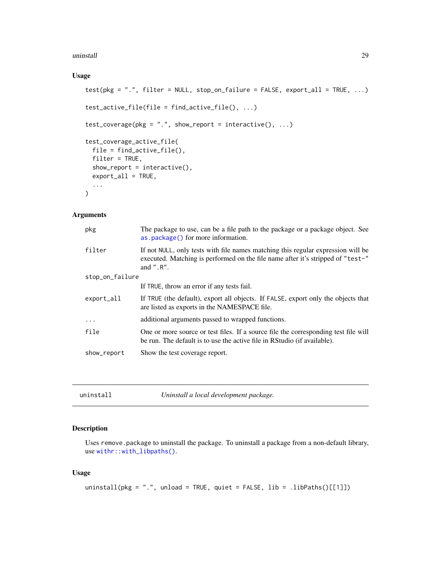#### <span id="page-28-0"></span>uninstall 29

#### Usage

```
test(pkg = ".", filter = NULL, stop_on_failure = FALSE, export_all = TRUE, ...)
test_active_file(file = find_active_file(), ...)
test\_coverage(pkg = ".", show_report = interactive(), ...)
test_coverage_active_file(
 file = find_active_file(),
 filter = TRUE,
 show\_report = interactive(),export_all = TRUE,
  ...
\mathcal{L}
```
#### Arguments

| pkg             | The package to use, can be a file path to the package or a package object. See<br>as.package() for more information.                                                                    |
|-----------------|-----------------------------------------------------------------------------------------------------------------------------------------------------------------------------------------|
| filter          | If not NULL, only tests with file names matching this regular expression will be<br>executed. Matching is performed on the file name after it's stripped of "test-"<br>and $"$ . $R"$ . |
| stop_on_failure |                                                                                                                                                                                         |
|                 | If TRUE, throw an error if any tests fail.                                                                                                                                              |
| $export_a11$    | If TRUE (the default), export all objects. If FALSE, export only the objects that<br>are listed as exports in the NAMESPACE file.                                                       |
| $\ddotsc$       | additional arguments passed to wrapped functions.                                                                                                                                       |
| file            | One or more source or test files. If a source file the corresponding test file will<br>be run. The default is to use the active file in RStudio (if available).                         |
| show_report     | Show the test coverage report.                                                                                                                                                          |

<span id="page-28-1"></span>

| uninstall | Uninstall a local development package. |
|-----------|----------------------------------------|
|-----------|----------------------------------------|

#### Description

Uses remove.package to uninstall the package. To uninstall a package from a non-default library, use [withr::with\\_libpaths\(\)](#page-0-0).

```
uninstall(pkg = ".", unload = TRUE, quiet = FALSE, lib = .libPaths()[[1]])
```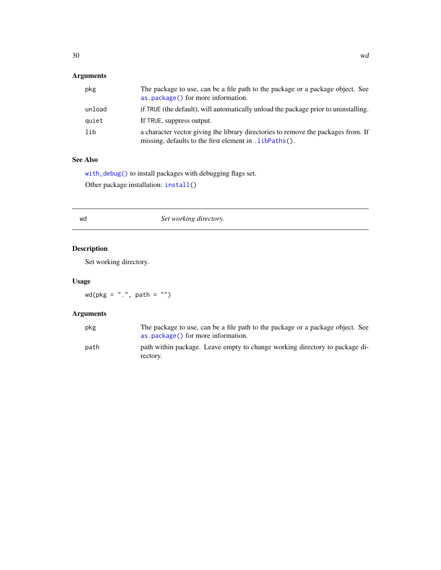# <span id="page-29-0"></span>Arguments

| pkg    | The package to use, can be a file path to the package or a package object. See<br>as.package() for more information.                         |
|--------|----------------------------------------------------------------------------------------------------------------------------------------------|
| unload | if TRUE (the default), will automatically unload the package prior to uninstalling.                                                          |
| quiet  | If TRUE, suppress output.                                                                                                                    |
| lib    | a character vector giving the library directories to remove the packages from. If<br>missing, defaults to the first element in . LibPaths(). |

# See Also

[with\\_debug\(\)](#page-0-0) to install packages with debugging flags set.

Other package installation: [install\(](#page-15-2))

# wd *Set working directory.*

# Description

Set working directory.

# Usage

 $wd(pkg = "."", path = "")$ 

# Arguments

| pkg  | The package to use, can be a file path to the package or a package object. See<br>as . package () for more information. |
|------|-------------------------------------------------------------------------------------------------------------------------|
| path | path within package. Leave empty to change working directory to package di-<br>rectory.                                 |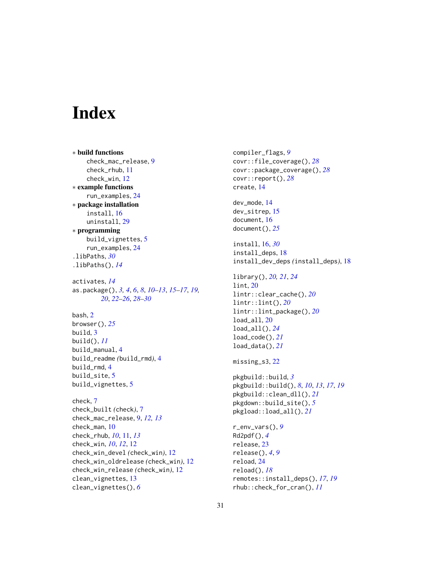# <span id="page-30-0"></span>Index

∗ build functions check\_mac\_release, [9](#page-8-0) check\_rhub, [11](#page-10-0) check\_win, [12](#page-11-0) ∗ example functions run\_examples, [24](#page-23-0) ∗ package installation install, [16](#page-15-0) uninstall, [29](#page-28-0) ∗ programming build\_vignettes, [5](#page-4-0) run\_examples, [24](#page-23-0) .libPaths, *[30](#page-29-0)* .libPaths(), *[14](#page-13-0)* activates, *[14](#page-13-0)* as.package(), *[3,](#page-2-0) [4](#page-3-0)*, *[6](#page-5-0)*, *[8](#page-7-0)*, *[10–](#page-9-0)[13](#page-12-0)*, *[15–](#page-14-0)[17](#page-16-0)*, *[19,](#page-18-0) [20](#page-19-0)*, *[22](#page-21-0)[–26](#page-25-0)*, *[28–](#page-27-0)[30](#page-29-0)* bash, [2](#page-1-0) browser(), *[25](#page-24-0)* build, [3](#page-2-0) build(), *[11](#page-10-0)* build\_manual, [4](#page-3-0) build\_readme *(*build\_rmd*)*, [4](#page-3-0) build\_rmd, [4](#page-3-0) build\_site, [5](#page-4-0) build\_vignettes, [5](#page-4-0) check, [7](#page-6-0) check\_built *(*check*)*, [7](#page-6-0) check\_mac\_release, [9,](#page-8-0) *[12,](#page-11-0) [13](#page-12-0)* check\_man, [10](#page-9-0) check\_rhub, *[10](#page-9-0)*, [11,](#page-10-0) *[13](#page-12-0)* check\_win, *[10](#page-9-0)*, *[12](#page-11-0)*, [12](#page-11-0) check\_win\_devel *(*check\_win*)*, [12](#page-11-0) check\_win\_oldrelease *(*check\_win*)*, [12](#page-11-0) check\_win\_release *(*check\_win*)*, [12](#page-11-0) clean\_vignettes, [13](#page-12-0) clean\_vignettes(), *[6](#page-5-0)*

compiler\_flags, *[9](#page-8-0)* covr::file\_coverage(), *[28](#page-27-0)* covr::package\_coverage(), *[28](#page-27-0)* covr::report(), *[28](#page-27-0)* create, [14](#page-13-0) dev\_mode, [14](#page-13-0) dev\_sitrep, [15](#page-14-0) document, [16](#page-15-0) document(), *[25](#page-24-0)* install, [16,](#page-15-0) *[30](#page-29-0)* install\_deps, [18](#page-17-0) install\_dev\_deps *(*install\_deps*)*, [18](#page-17-0) library(), *[20,](#page-19-0) [21](#page-20-0)*, *[24](#page-23-0)* lint, [20](#page-19-0) lintr::clear\_cache(), *[20](#page-19-0)* lintr::lint(), *[20](#page-19-0)* lintr::lint\_package(), *[20](#page-19-0)* load\_all, [20](#page-19-0) load\_all(), *[24](#page-23-0)* load\_code(), *[21](#page-20-0)* load\_data(), *[21](#page-20-0)* missing\_s3, [22](#page-21-0) pkgbuild::build, *[3](#page-2-0)* pkgbuild::build(), *[8](#page-7-0)*, *[10](#page-9-0)*, *[13](#page-12-0)*, *[17](#page-16-0)*, *[19](#page-18-0)* pkgbuild::clean\_dll(), *[21](#page-20-0)* pkgdown::build\_site(), *[5](#page-4-0)* pkgload::load\_all(), *[21](#page-20-0)* r\_env\_vars(), *[9](#page-8-0)* Rd2pdf(), *[4](#page-3-0)* release, [23](#page-22-0) release(), *[4](#page-3-0)*, *[9](#page-8-0)* reload, [24](#page-23-0) reload(), *[18](#page-17-0)* remotes::install\_deps(), *[17](#page-16-0)*, *[19](#page-18-0)* rhub::check\_for\_cran(), *[11](#page-10-0)*